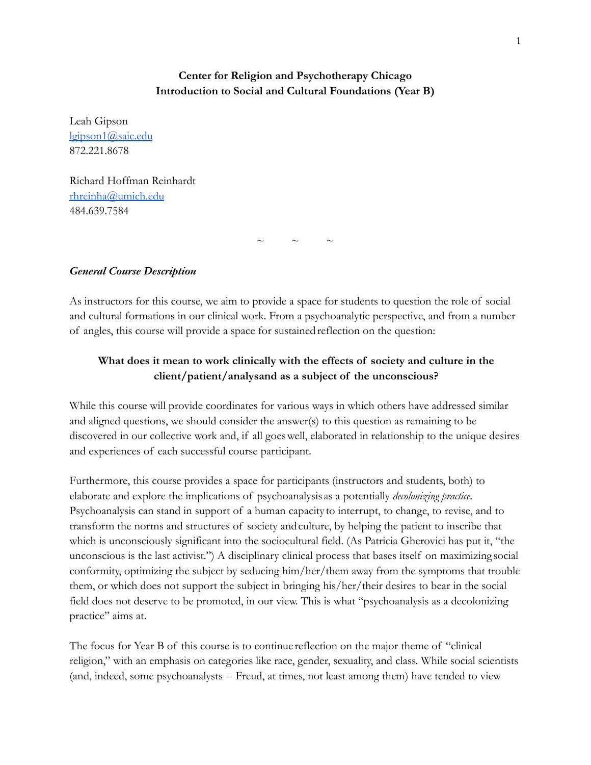# **Center for Religion and Psychotherapy Chicago Introduction to Social and Cultural Foundations (Year B)**

Leah Gipson [lgipson1@saic.edu](mailto:lgipson1@saic.edu) 872.221.8678

Richard Hoffman Reinhardt [rhreinha@umich.edu](mailto:rhreinha@umich.edu) 484.639.7584

 $\sim$   $\sim$   $\sim$ 

## *General Course Description*

As instructors for this course, we aim to provide a space for students to question the role of social and cultural formations in our clinical work. From a psychoanalytic perspective, and from a number of angles, this course will provide a space for sustained reflection on the question:

# **What does it mean to work clinically with the effects of society and culture in the client/patient/analysand as a subject of the unconscious?**

While this course will provide coordinates for various ways in which others have addressed similar and aligned questions, we should consider the answer(s) to this question as remaining to be discovered in our collective work and, if all goeswell, elaborated in relationship to the unique desires and experiences of each successful course participant.

Furthermore, this course provides a space for participants (instructors and students, both) to elaborate and explore the implications of psychoanalysis as a potentially *decolonizing practice*. Psychoanalysis can stand in support of a human capacity to interrupt, to change, to revise, and to transform the norms and structures of society andculture, by helping the patient to inscribe that which is unconsciously significant into the sociocultural field. (As Patricia Gherovici has put it, "the unconscious is the last activist.") A disciplinary clinical process that bases itself on maximizing social conformity, optimizing the subject by seducing him/her/them away from the symptoms that trouble them, or which does not support the subject in bringing his/her/their desires to bear in the social field does not deserve to be promoted, in our view. This is what "psychoanalysis as a decolonizing practice" aims at.

The focus for Year B of this course is to continue reflection on the major theme of "clinical religion," with an emphasis on categories like race, gender, sexuality, and class. While social scientists (and, indeed, some psychoanalysts -- Freud, at times, not least among them) have tended to view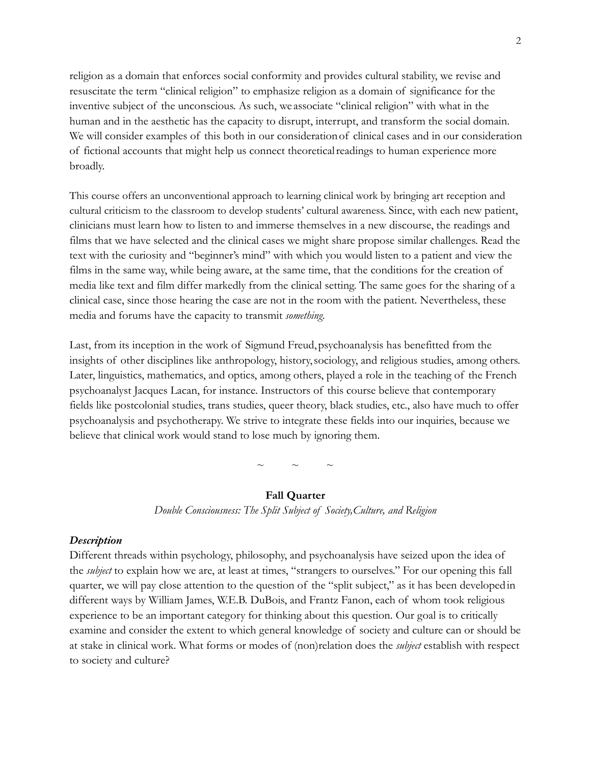religion as a domain that enforces social conformity and provides cultural stability, we revise and resuscitate the term "clinical religion" to emphasize religion as a domain of significance for the inventive subject of the unconscious. As such, we associate "clinical religion" with what in the human and in the aesthetic has the capacity to disrupt, interrupt, and transform the social domain. We will consider examples of this both in our consideration of clinical cases and in our consideration of fictional accounts that might help us connect theoreticalreadings to human experience more broadly.

This course offers an unconventional approach to learning clinical work by bringing art reception and cultural criticism to the classroom to develop students' cultural awareness. Since, with each new patient, clinicians must learn how to listen to and immerse themselves in a new discourse, the readings and films that we have selected and the clinical cases we might share propose similar challenges. Read the text with the curiosity and "beginner's mind" with which you would listen to a patient and view the films in the same way, while being aware, at the same time, that the conditions for the creation of media like text and film differ markedly from the clinical setting. The same goes for the sharing of a clinical case, since those hearing the case are not in the room with the patient. Nevertheless, these media and forums have the capacity to transmit *something*.

Last, from its inception in the work of Sigmund Freud,psychoanalysis has benefitted from the insights of other disciplines like anthropology, history,sociology, and religious studies, among others. Later, linguistics, mathematics, and optics, among others, played a role in the teaching of the French psychoanalyst Jacques Lacan, for instance. Instructors of this course believe that contemporary fields like postcolonial studies, trans studies, queer theory, black studies, etc., also have much to offer psychoanalysis and psychotherapy. We strive to integrate these fields into our inquiries, because we believe that clinical work would stand to lose much by ignoring them.

 $\sim$   $\sim$   $\sim$ 

## **Fall Quarter**

*Double Consciousness: The Split Subject of Society,Culture, and Religion*

#### *Description*

Different threads within psychology, philosophy, and psychoanalysis have seized upon the idea of the *subject* to explain how we are, at least at times, "strangers to ourselves." For our opening this fall quarter, we will pay close attention to the question of the "split subject," as it has been developedin different ways by William James, W.E.B. DuBois, and Frantz Fanon, each of whom took religious experience to be an important category for thinking about this question. Our goal is to critically examine and consider the extent to which general knowledge of society and culture can or should be at stake in clinical work. What forms or modes of (non)relation does the *subject* establish with respect to society and culture?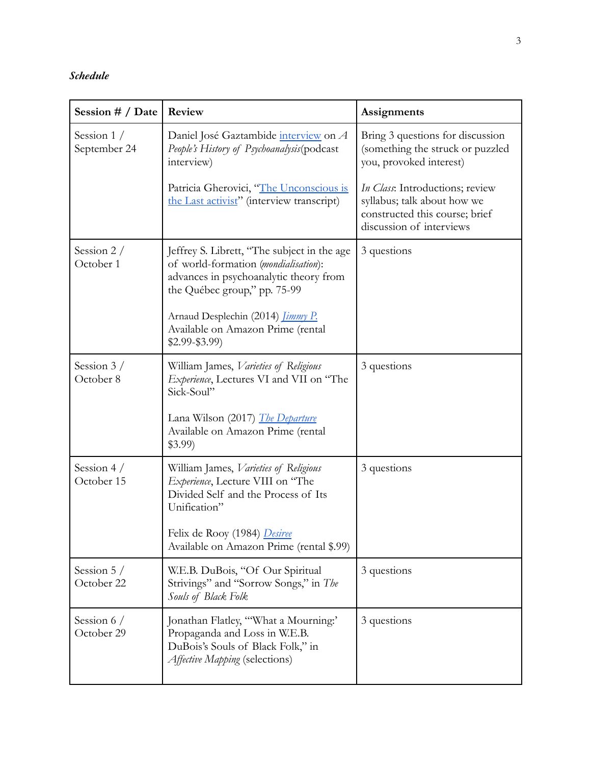# *Schedule*

| Session # / Date             | Review                                                                                                                                                                                                                                                            | Assignments                                                                                                                  |
|------------------------------|-------------------------------------------------------------------------------------------------------------------------------------------------------------------------------------------------------------------------------------------------------------------|------------------------------------------------------------------------------------------------------------------------------|
| Session $1/$<br>September 24 | Daniel José Gaztambide interview on A<br>People's History of Psychoanalysis(podcast<br>interview)                                                                                                                                                                 | Bring 3 questions for discussion<br>(something the struck or puzzled<br>you, provoked interest)                              |
|                              | Patricia Gherovici, "The Unconscious is<br>the Last activist" (interview transcript)                                                                                                                                                                              | In Class: Introductions; review<br>syllabus; talk about how we<br>constructed this course; brief<br>discussion of interviews |
| Session $2/$<br>October 1    | Jeffrey S. Librett, "The subject in the age<br>of world-formation (mondialisation):<br>advances in psychoanalytic theory from<br>the Québec group," pp. 75-99<br>Arnaud Desplechin (2014) <i>Jimmy P.</i><br>Available on Amazon Prime (rental<br>$$2.99 - $3.99$ | 3 questions                                                                                                                  |
| Session $3/$<br>October 8    | William James, Varieties of Religious<br>Experience, Lectures VI and VII on "The<br>Sick-Soul"<br>Lana Wilson (2017) <i>The Departure</i><br>Available on Amazon Prime (rental<br>$$3.99$ )                                                                       | 3 questions                                                                                                                  |
| Session 4 $/$<br>October 15  | William James, Varieties of Religious<br>Experience, Lecture VIII on "The<br>Divided Self and the Process of Its<br>Unification"<br>Felix de Rooy (1984) Desiree<br>Available on Amazon Prime (rental \$.99)                                                      | 3 questions                                                                                                                  |
| Session $5/$<br>October 22   | W.E.B. DuBois, "Of Our Spiritual<br>Strivings" and "Sorrow Songs," in The<br>Souls of Black Folk                                                                                                                                                                  | 3 questions                                                                                                                  |
| Session 6 /<br>October 29    | Jonathan Flatley, "What a Mourning:'<br>Propaganda and Loss in W.E.B.<br>DuBois's Souls of Black Folk," in<br>Affective Mapping (selections)                                                                                                                      | 3 questions                                                                                                                  |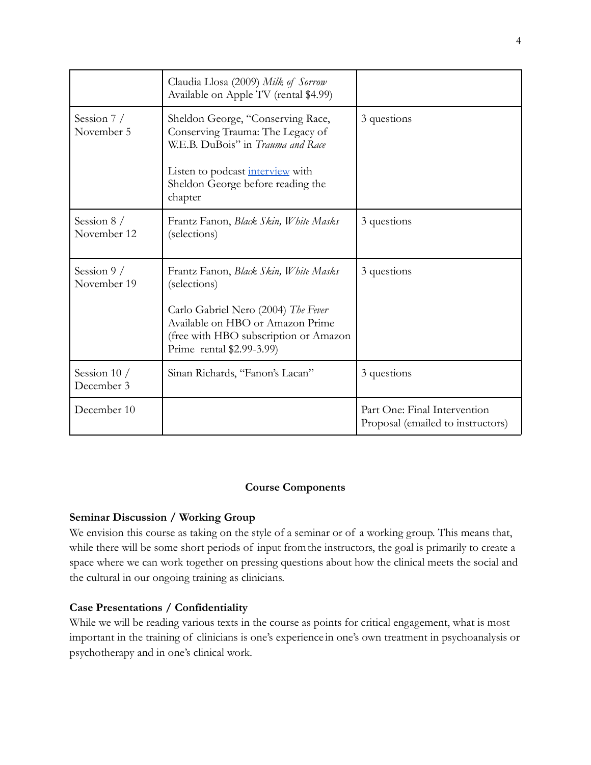|                             | Claudia Llosa (2009) Milk of Sorrow<br>Available on Apple TV (rental \$4.99)                                                                                 |                                                                   |
|-----------------------------|--------------------------------------------------------------------------------------------------------------------------------------------------------------|-------------------------------------------------------------------|
| Session $7/$<br>November 5  | Sheldon George, "Conserving Race,<br>Conserving Trauma: The Legacy of<br>W.E.B. DuBois" in <i>Trauma and Race</i><br>Listen to podcast <i>interview</i> with | 3 questions                                                       |
|                             | Sheldon George before reading the<br>chapter                                                                                                                 |                                                                   |
| Session $8/$<br>November 12 | Frantz Fanon, Black Skin, White Masks<br>(selections)                                                                                                        | 3 questions                                                       |
| Session $9/$<br>November 19 | Frantz Fanon, Black Skin, White Masks<br>(selections)                                                                                                        | 3 questions                                                       |
|                             | Carlo Gabriel Nero (2004) The Fever<br>Available on HBO or Amazon Prime<br>(free with HBO subscription or Amazon<br>Prime rental \$2.99-3.99)                |                                                                   |
| Session $10/$<br>December 3 | Sinan Richards, "Fanon's Lacan"                                                                                                                              | 3 questions                                                       |
| December 10                 |                                                                                                                                                              | Part One: Final Intervention<br>Proposal (emailed to instructors) |

## **Course Components**

## **Seminar Discussion / Working Group**

We envision this course as taking on the style of a seminar or of a working group. This means that, while there will be some short periods of input fromthe instructors, the goal is primarily to create a space where we can work together on pressing questions about how the clinical meets the social and the cultural in our ongoing training as clinicians.

## **Case Presentations / Confidentiality**

While we will be reading various texts in the course as points for critical engagement, what is most important in the training of clinicians is one's experience in one's own treatment in psychoanalysis or psychotherapy and in one's clinical work.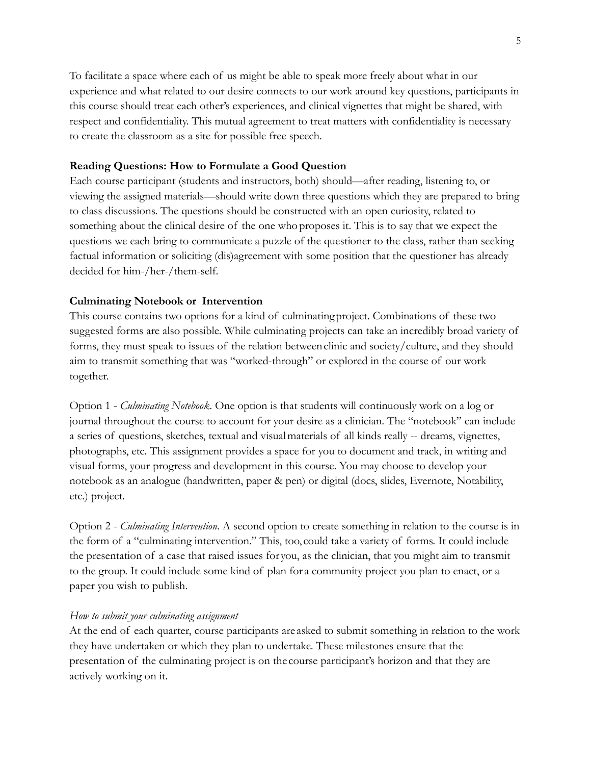To facilitate a space where each of us might be able to speak more freely about what in our experience and what related to our desire connects to our work around key questions, participants in this course should treat each other's experiences, and clinical vignettes that might be shared, with respect and confidentiality. This mutual agreement to treat matters with confidentiality is necessary to create the classroom as a site for possible free speech.

## **Reading Questions: How to Formulate a Good Question**

Each course participant (students and instructors, both) should—after reading, listening to, or viewing the assigned materials—should write down three questions which they are prepared to bring to class discussions. The questions should be constructed with an open curiosity, related to something about the clinical desire of the one whoproposes it. This is to say that we expect the questions we each bring to communicate a puzzle of the questioner to the class, rather than seeking factual information or soliciting (dis)agreement with some position that the questioner has already decided for him-/her-/them-self.

## **Culminating Notebook or Intervention**

This course contains two options for a kind of culminatingproject. Combinations of these two suggested forms are also possible. While culminating projects can take an incredibly broad variety of forms, they must speak to issues of the relation betweenclinic and society/culture, and they should aim to transmit something that was "worked-through" or explored in the course of our work together.

Option 1 - *Culminating Notebook*. One option is that students will continuously work on a log or journal throughout the course to account for your desire as a clinician. The "notebook" can include a series of questions, sketches, textual and visualmaterials of all kinds really -- dreams, vignettes, photographs, etc. This assignment provides a space for you to document and track, in writing and visual forms, your progress and development in this course. You may choose to develop your notebook as an analogue (handwritten, paper & pen) or digital (docs, slides, Evernote, Notability, etc.) project.

Option 2 - *Culminating Intervention*. A second option to create something in relation to the course is in the form of a "culminating intervention." This, too, could take a variety of forms. It could include the presentation of a case that raised issues for you, as the clinician, that you might aim to transmit to the group. It could include some kind of plan for a community project you plan to enact, or a paper you wish to publish.

## *How to submit your culminating assignment*

At the end of each quarter, course participants are asked to submit something in relation to the work they have undertaken or which they plan to undertake. These milestones ensure that the presentation of the culminating project is on the course participant's horizon and that they are actively working on it.